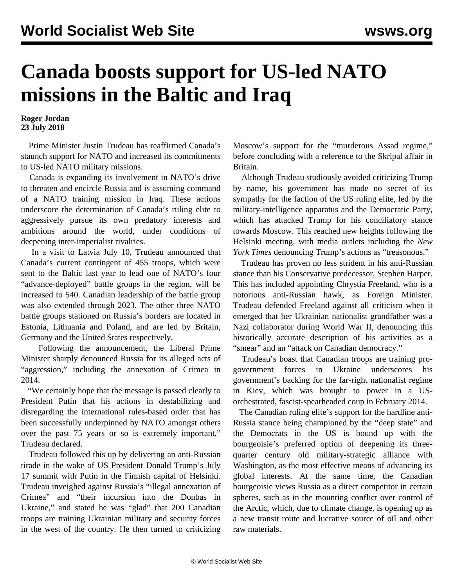## **Canada boosts support for US-led NATO missions in the Baltic and Iraq**

**Roger Jordan 23 July 2018**

 Prime Minister Justin Trudeau has reaffirmed Canada's staunch support for NATO and increased its commitments to US-led NATO military missions.

 Canada is expanding its involvement in NATO's drive to threaten and encircle Russia and is assuming command of a NATO training mission in Iraq. These actions underscore the determination of Canada's ruling elite to aggressively pursue its own predatory interests and ambitions around the world, under conditions of deepening inter-imperialist rivalries.

 In a visit to Latvia July 10, Trudeau announced that Canada's current contingent of 455 troops, which were sent to the Baltic last year to lead one of NATO's four "advance-deployed" battle groups in the region, will be increased to 540. Canadian leadership of the battle group was also extended through 2023. The other three NATO battle groups stationed on Russia's borders are located in Estonia, Lithuania and Poland, and are led by Britain, Germany and the United States respectively.

 Following the announcement, the Liberal Prime Minister sharply denounced Russia for its alleged acts of "aggression," including the annexation of Crimea in 2014.

 "We certainly hope that the message is passed clearly to President Putin that his actions in destabilizing and disregarding the international rules-based order that has been successfully underpinned by NATO amongst others over the past 75 years or so is extremely important," Trudeau declared.

 Trudeau followed this up by delivering an anti-Russian tirade in the wake of US President Donald Trump's July 17 summit with Putin in the Finnish capital of Helsinki. Trudeau inveighed against Russia's "illegal annexation of Crimea" and "their incursion into the Donbas in Ukraine," and stated he was "glad" that 200 Canadian troops are training Ukrainian military and security forces in the west of the country. He then turned to criticizing

Moscow's support for the "murderous Assad regime," before concluding with a reference to the Skripal affair in Britain.

 Although Trudeau studiously avoided criticizing Trump by name, his government has made no secret of its sympathy for the faction of the US ruling elite, led by the military-intelligence apparatus and the Democratic Party, which has attacked Trump for his conciliatory stance towards Moscow. This reached new heights following the Helsinki meeting, with media outlets including the *New York Times* denouncing Trump's actions as "treasonous."

 Trudeau has proven no less strident in his anti-Russian stance than his Conservative predecessor, Stephen Harper. This has included appointing Chrystia Freeland, who is a notorious anti-Russian hawk, as Foreign Minister. Trudeau defended Freeland against all criticism when it emerged that her Ukrainian nationalist grandfather was a Nazi collaborator during World War II, denouncing this historically accurate description of his activities as a "smear" and an "attack on Canadian democracy."

 Trudeau's boast that Canadian troops are training progovernment forces in Ukraine underscores government's backing for the far-right nationalist regime in Kiev, which was brought to power in a USorchestrated, fascist-spearheaded coup in February 2014.

 The Canadian ruling elite's support for the hardline anti-Russia stance being championed by the "deep state" and the Democrats in the US is bound up with the bourgeoisie's preferred option of deepening its threequarter century old military-strategic alliance with Washington, as the most effective means of advancing its global interests. At the same time, the Canadian bourgeoisie views Russia as a direct competitor in certain spheres, such as in the mounting conflict over control of the Arctic, which, due to climate change, is opening up as a new transit route and lucrative source of oil and other raw materials.